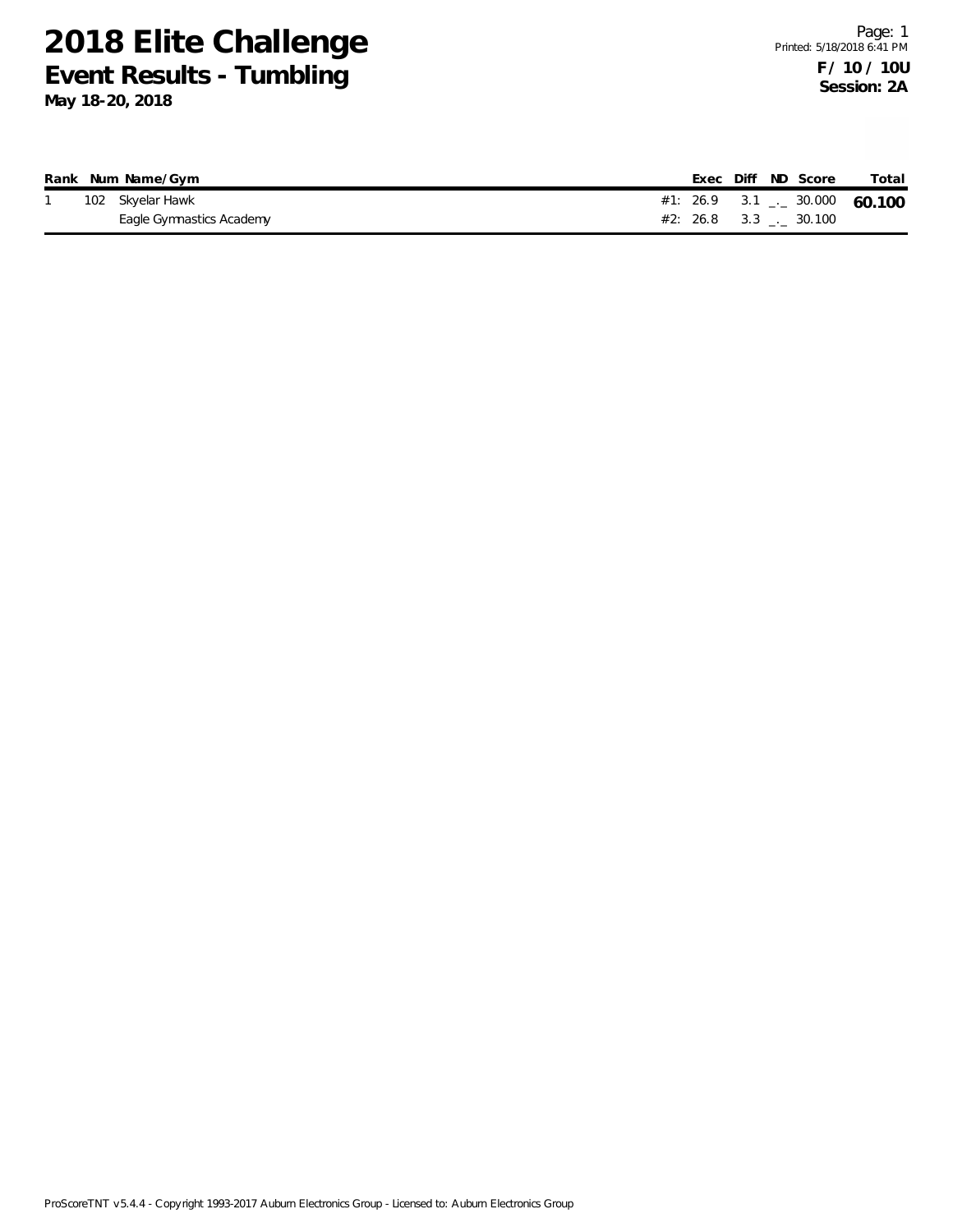|  | Rank Num Name/Gym        |  |  | Exec Diff ND Score             | Total                             |
|--|--------------------------|--|--|--------------------------------|-----------------------------------|
|  | 102 Skyelar Hawk         |  |  |                                | #1: 26.9 3.1 $\leq$ 30.000 60.100 |
|  | Eagle Gymnastics Academy |  |  | $#2: 26.8$ 3.3 $\ldots$ 30.100 |                                   |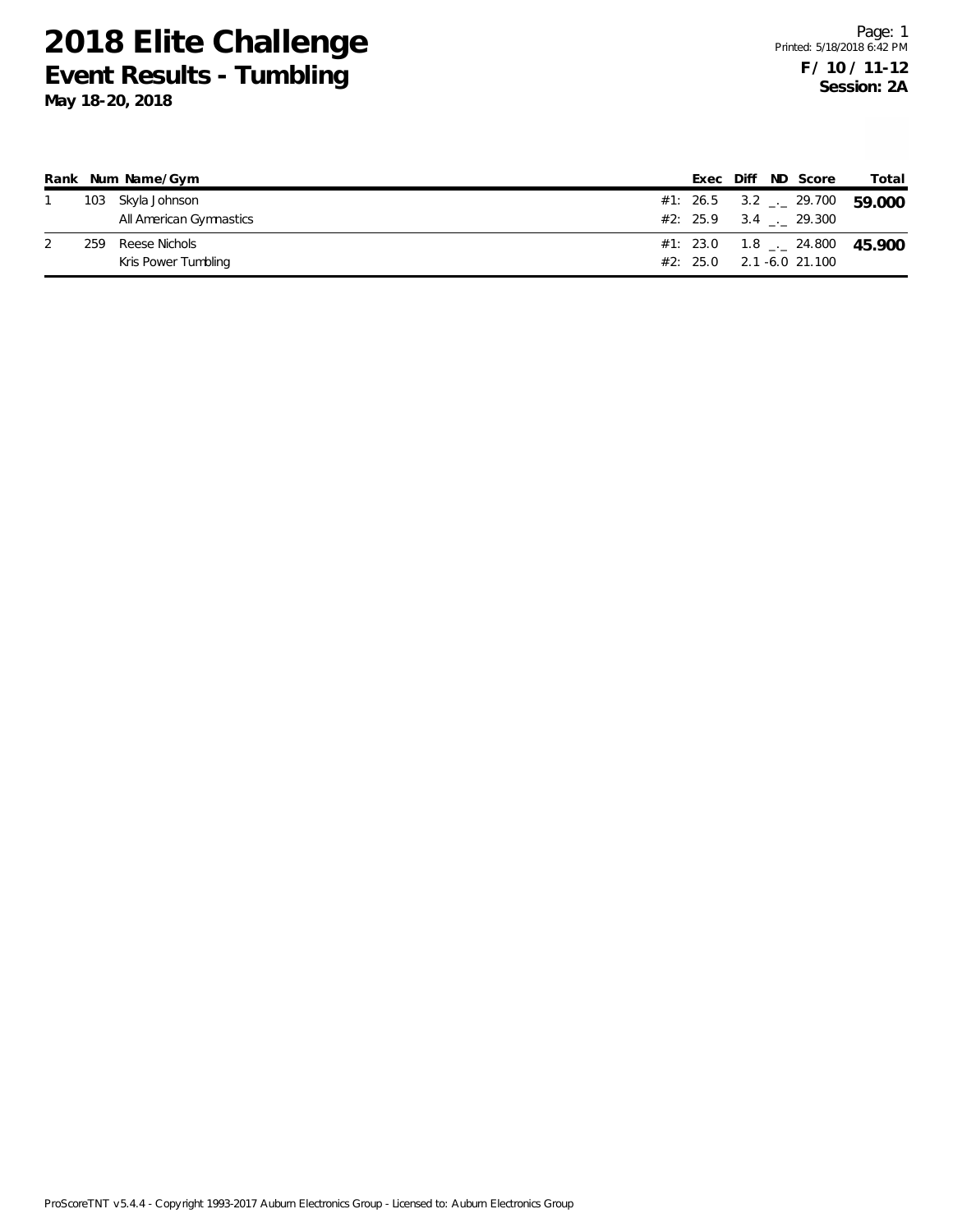|     | Rank Num Name/Gym       |  |  | Exec Diff ND Score           | Total                                      |
|-----|-------------------------|--|--|------------------------------|--------------------------------------------|
|     | 103 Skyla Johnson       |  |  |                              | #1: 26.5 3.2 $\frac{1}{2}$ 29.700 59.000   |
|     | All American Gymnastics |  |  | $\#2$ : 25.9 3.4 . 29.300    |                                            |
| 259 | Reese Nichols           |  |  |                              | #1: 23.0  1.8 $\frac{1}{2}$ 24.800  45.900 |
|     | Kris Power Tumbling     |  |  | $\#2$ : 25.0 2.1 -6.0 21.100 |                                            |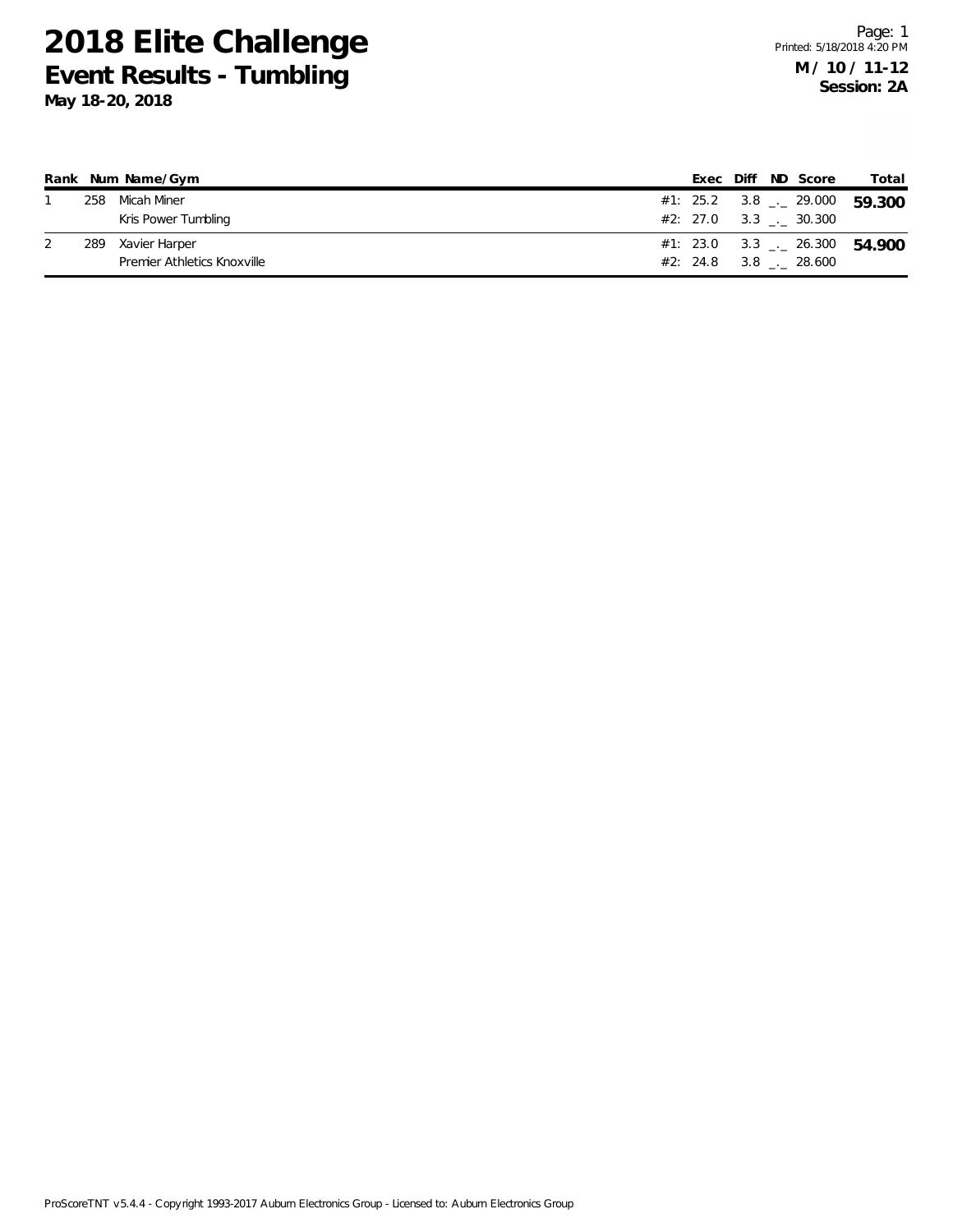|     | Rank Num Name/Gym           |  |  | Exec Diff ND Score                   | Total                                    |
|-----|-----------------------------|--|--|--------------------------------------|------------------------------------------|
| 258 | Micah Miner                 |  |  |                                      | #1: 25.2 3.8 $\frac{1}{2}$ 29.000 59.300 |
|     | Kris Power Tumbling         |  |  | $\#2: 27.0 \qquad 3.3 \qquad 30.300$ |                                          |
| 289 | Xavier Harper               |  |  |                                      | #1: 23.0 3.3 $-26.300$ 54.900            |
|     | Premier Athletics Knoxville |  |  | $#2: 24.8$ 3.8 . 28.600              |                                          |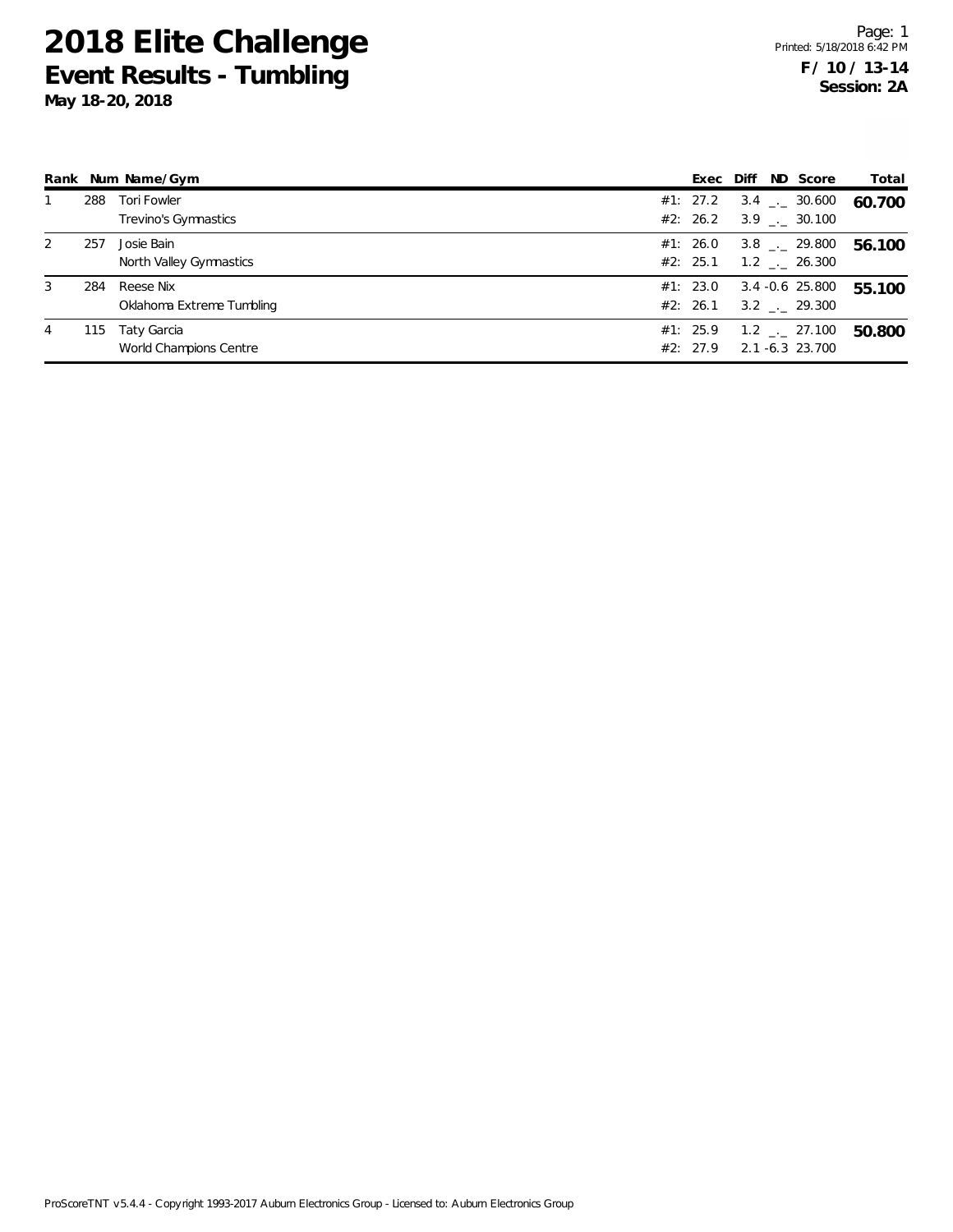**May 18-20, 2018**

|   |     | Rank Num Name/Gym                      |                      | Exec Diff ND Score                                           | Total  |
|---|-----|----------------------------------------|----------------------|--------------------------------------------------------------|--------|
|   | 288 | Tori Fowler<br>Trevino's Gymnastics    | #1: 27.2<br>#2: 26.2 | $3.4$ $_{\leftarrow}$ 30.600<br>$3.9$ $_{\leftarrow}$ 30.100 | 60.700 |
| 2 | 257 | Josie Bain<br>North Valley Gymnastics  | #1: 26.0<br>#2: 25.1 | $3.8$ $_{\leftarrow}$ 29.800<br>$1.2$ $_{\leftarrow}$ 26.300 | 56.100 |
| 3 | 284 | Reese Nix<br>Oklahoma Extreme Tumbling | #1: 23.0<br>#2: 26.1 | 3.4 -0.6 25.800<br>$3.2$ $_{--}$ 29.300                      | 55.100 |
| 4 | 115 | Taty Garcia<br>World Champions Centre  | #1: 25.9<br>#2: 27.9 | $1.2$ $_{\leftarrow}$ 27.100<br>2.1 -6.3 23.700              | 50.800 |

ProScoreTNT v5.4.4 - Copyright 1993-2017 Auburn Electronics Group - Licensed to: Auburn Electronics Group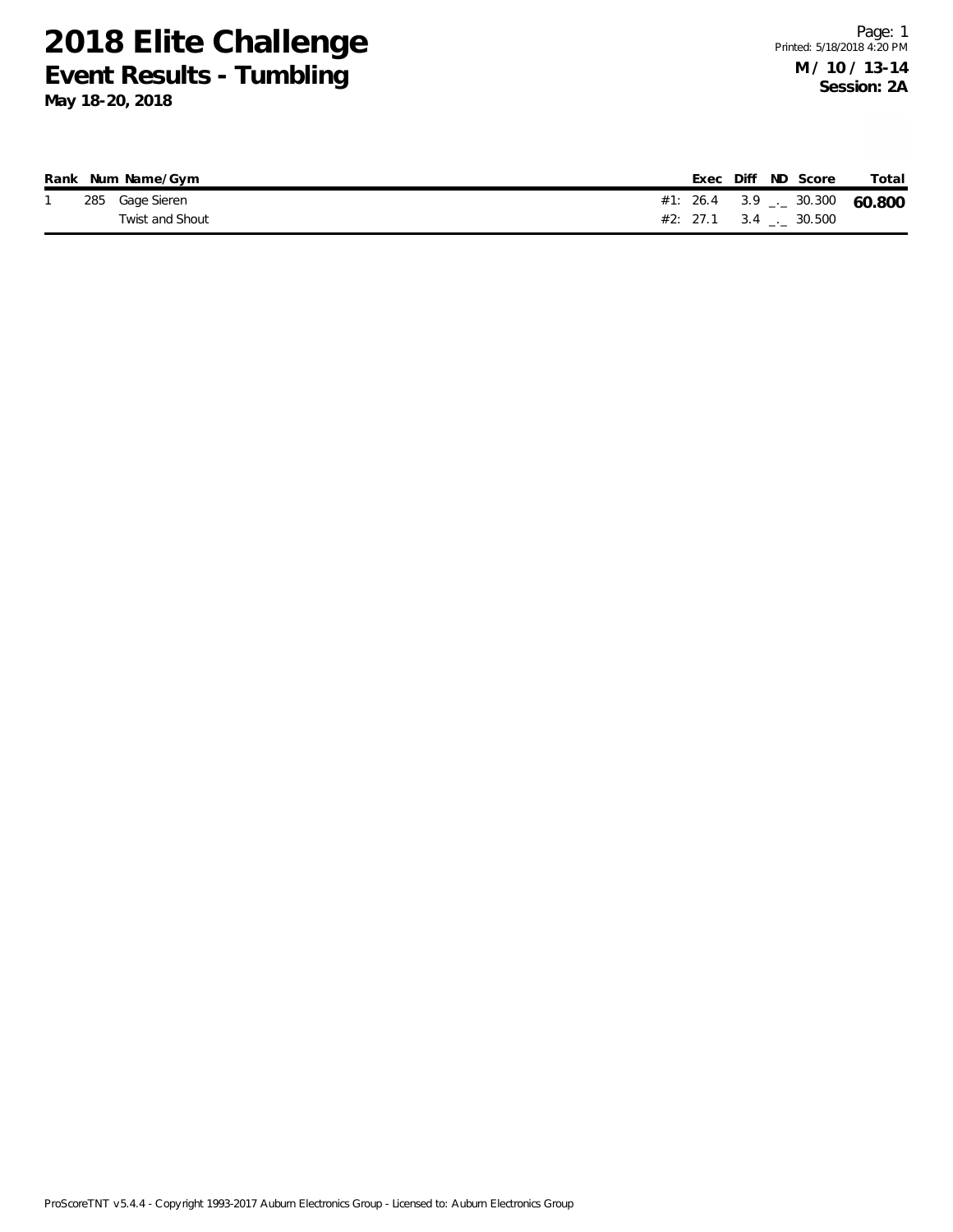|  | Rank Num Name/Gym |  | Exec Diff ND Score                | Total  |
|--|-------------------|--|-----------------------------------|--------|
|  | 285 Gage Sieren   |  | #1: 26.4 3.9 $\frac{1}{2}$ 30.300 | 60.800 |
|  | Twist and Shout   |  | $#2: 27.1 \t 3.4 \t  \t 30.500$   |        |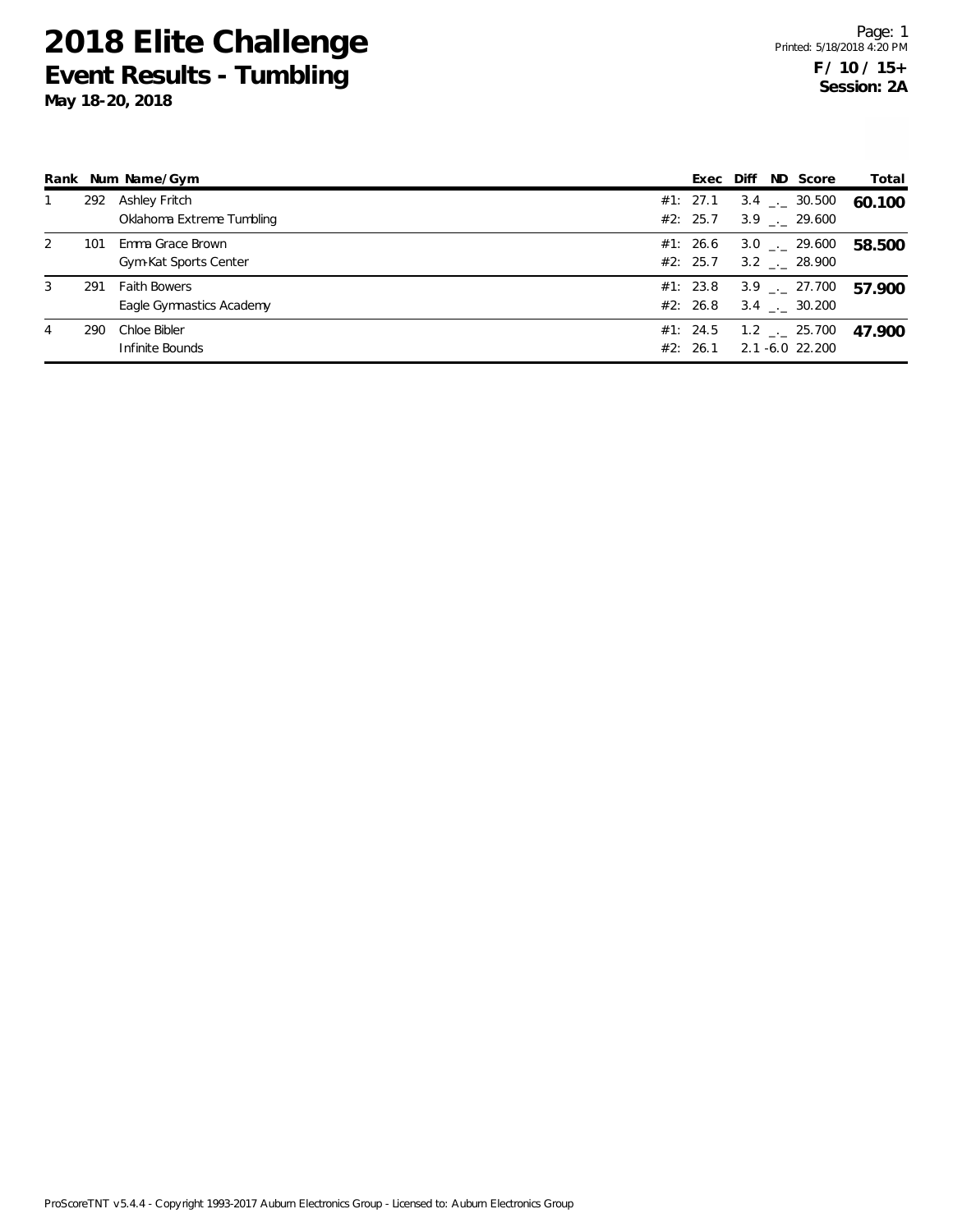|   |     | Rank Num Name/Gym                               | Exec Diff            |  | ND Score                                                     | Total  |
|---|-----|-------------------------------------------------|----------------------|--|--------------------------------------------------------------|--------|
|   | 292 | Ashley Fritch<br>Oklahoma Extreme Tumbling      | #1: 27.1<br>#2: 25.7 |  | $3.4$ $_{\leftarrow}$ 30.500<br>$3.9$ $_{\leftarrow}$ 29.600 | 60.100 |
| 2 | 101 | Emma Grace Brown<br>Gym-Kat Sports Center       | #1: 26.6<br>#2: 25.7 |  | $3.0$ $_{-}$ 29.600<br>$3.2$ $_{\leftarrow}$ 28.900          | 58.500 |
| 3 | 291 | <b>Faith Bowers</b><br>Eagle Gymnastics Academy | #1: 23.8<br>#2: 26.8 |  | $3.9$ $_{\leftarrow}$ 27.700<br>$3.4$ $-.$ 30.200            | 57.900 |
| 4 | 290 | Chloe Bibler<br>Infinite Bounds                 | #1: 24.5<br>#2: 26.1 |  | $1.2$ $_{\leftarrow}$ 25.700<br>2.1 -6.0 22.200              | 47.900 |